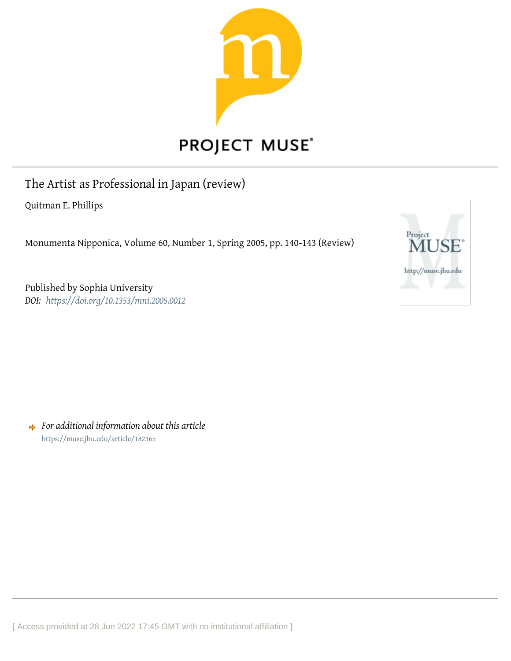

## **PROJECT MUSE®**

The Artist as Professional in Japan (review)

Quitman E. Phillips

Monumenta Nipponica, Volume 60, Number 1, Spring 2005, pp. 140-143 (Review)





*For additional information about this article* <https://muse.jhu.edu/article/182365>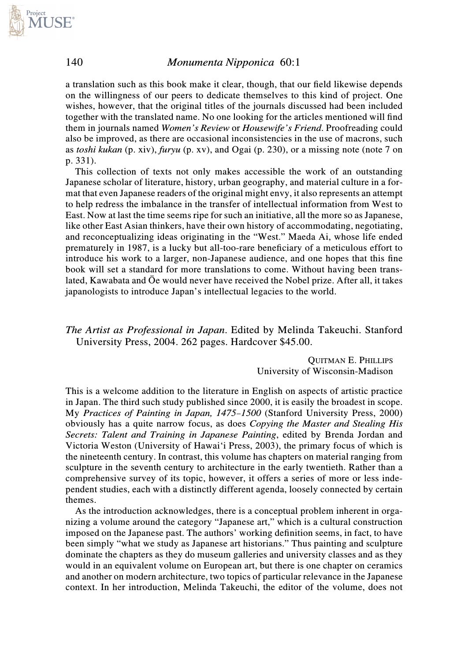

a translation such as this book make it clear, though, that our field likewise depends on the willingness of our peers to dedicate themselves to this kind of project. One wishes, however, that the original titles of the journals discussed had been included together with the translated name. No one looking for the articles mentioned will find them in journals named Women's Review or Housewife's Friend. Proofreading could also be improved, as there are occasional inconsistencies in the use of macrons, such as toshi kukan (p. xiv), furvu (p. xv), and Ogai (p. 230), or a missing note (note 7 on p. 331).

This collection of texts not only makes accessible the work of an outstanding Japanese scholar of literature, history, urban geography, and material culture in a format that even Japanese readers of the original might envy, it also represents an attempt to help redress the imbalance in the transfer of intellectual information from West to East. Now at last the time seems ripe for such an initiative, all the more so as Japanese, like other East Asian thinkers, have their own history of accommodating, negotiating, and reconceptualizing ideas originating in the "West." Maeda Ai, whose life ended prematurely in 1987, is a lucky but all-too-rare beneficiary of a meticulous effort to introduce his work to a larger, non-Japanese audience, and one hopes that this fine book will set a standard for more translations to come. Without having been translated, Kawabata and Ôe would never have received the Nobel prize. After all, it takes japanologists to introduce Japan's intellectual legacies to the world.

The Artist as Professional in Japan. Edited by Melinda Takeuchi. Stanford University Press, 2004. 262 pages. Hardcover \$45.00.

> QUITMAN E. PHILLIPS University of Wisconsin-Madison

This is a welcome addition to the literature in English on aspects of artistic practice in Japan. The third such study published since 2000, it is easily the broadest in scope. My Practices of Painting in Japan, 1475–1500 (Stanford University Press, 2000) obviously has a quite narrow focus, as does Copying the Master and Stealing His Secrets: Talent and Training in Japanese Painting, edited by Brenda Jordan and Victoria Weston (University of Hawai'i Press, 2003), the primary focus of which is the nineteenth century. In contrast, this volume has chapters on material ranging from sculpture in the seventh century to architecture in the early twentieth. Rather than a comprehensive survey of its topic, however, it offers a series of more or less independent studies, each with a distinctly different agenda, loosely connected by certain themes.

As the introduction acknowledges, there is a conceptual problem inherent in organizing a volume around the category "Japanese art," which is a cultural construction imposed on the Japanese past. The authors' working definition seems, in fact, to have been simply "what we study as Japanese art historians." Thus painting and sculpture dominate the chapters as they do museum galleries and university classes and as they would in an equivalent volume on European art, but there is one chapter on ceramics and another on modern architecture, two topics of particular relevance in the Japanese context. In her introduction, Melinda Takeuchi, the editor of the volume, does not



Project

**ATTISE**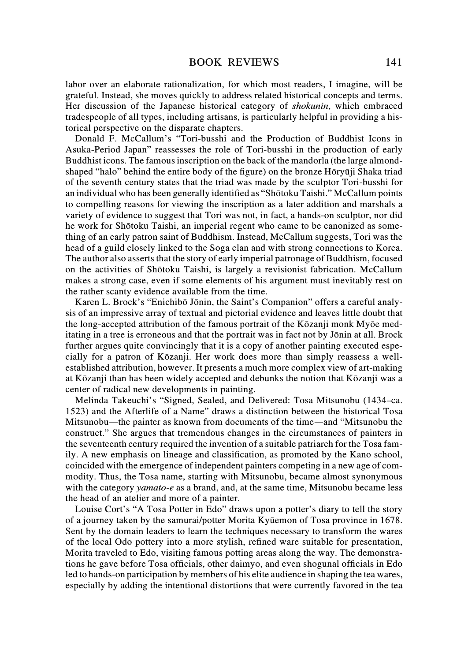labor over an elaborate rationalization, for which most readers, I imagine, will be grateful. Instead, she moves quickly to address related historical concepts and terms. Her discussion of the Japanese historical category of shokunin, which embraced tradespeople of all types, including artisans, is particularly helpful in providing a historical perspective on the disparate chapters.

Donald F. McCallum's "Tori-busshi and the Production of Buddhist Icons in Asuka-Period Japan" reassesses the role of Tori-busshi in the production of early Buddhist icons. The famous inscription on the back of the mandorla (the large almondshaped "halo" behind the entire body of the figure) on the bronze Hôryûji Shaka triad of the seventh century states that the triad was made by the sculptor Tori-busshi for an individual who has been generally identified as "Shôtoku Taishi." McCallum points to compelling reasons for viewing the inscription as a later addition and marshals a variety of evidence to suggest that Tori was not, in fact, a hands-on sculptor, nor did he work for Shôtoku Taishi, an imperial regent who came to be canonized as something of an early patron saint of Buddhism. Instead, McCallum suggests, Tori was the head of a guild closely linked to the Soga clan and with strong connections to Korea. The author also asserts that the story of early imperial patronage of Buddhism, focused on the activities of Shôtoku Taishi, is largely a revisionist fabrication. McCallum makes a strong case, even if some elements of his argument must inevitably rest on the rather scanty evidence available from the time.

Karen L. Brock's "Enichibô Jônin, the Saint's Companion" offers a careful analysis of an impressive array of textual and pictorial evidence and leaves little doubt that the long-accepted attribution of the famous portrait of the Kôzanji monk Myôe meditating in a tree is erroneous and that the portrait was in fact not by Jônin at all. Brock further argues quite convincingly that it is a copy of another painting executed especially for a patron of Kôzanji. Her work does more than simply reassess a wellestablished attribution, however. It presents a much more complex view of art-making at Kôzanji than has been widely accepted and debunks the notion that Kôzanji was a center of radical new developments in painting.

Melinda Takeuchi's "Signed, Sealed, and Delivered: Tosa Mitsunobu (1434–ca. 1523) and the Afterlife of a Name" draws a distinction between the historical Tosa Mitsunobu—the painter as known from documents of the time—and "Mitsunobu the construct." She argues that tremendous changes in the circumstances of painters in the seventeenth century required the invention of a suitable patriarch for the Tosa family. A new emphasis on lineage and classification, as promoted by the Kano school, coincided with the emergence of independent painters competing in a new age of commodity. Thus, the Tosa name, starting with Mitsunobu, became almost synonymous with the category *yamato-e* as a brand, and, at the same time, Mitsunobu became less the head of an atelier and more of a painter.

Louise Cort's "A Tosa Potter in Edo" draws upon a potter's diary to tell the story of a journey taken by the samurai/potter Morita Kyûemon of Tosa province in 1678. Sent by the domain leaders to learn the techniques necessary to transform the wares of the local Odo pottery into a more stylish, refined ware suitable for presentation, Morita traveled to Edo, visiting famous potting areas along the way. The demonstrations he gave before Tosa officials, other daimyo, and even shogunal officials in Edo led to hands-on participation by members of his elite audience in shaping the tea wares, especially by adding the intentional distortions that were currently favored in the tea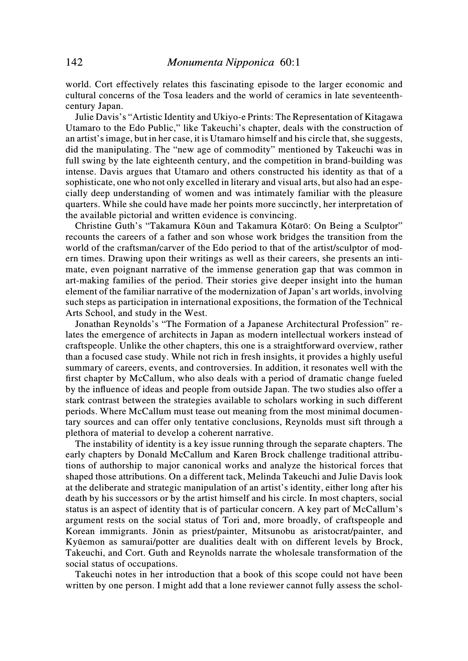world. Cort effectively relates this fascinating episode to the larger economic and cultural concerns of the Tosa leaders and the world of ceramics in late seventeenthcentury Japan.

Julie Davis's "Artistic Identity and Ukiyo-e Prints: The Representation of Kitagawa Utamaro to the Edo Public," like Takeuchi's chapter, deals with the construction of an artist's image, but in her case, it is Utamaro himself and his circle that, she suggests, did the manipulating. The "new age of commodity" mentioned by Takeuchi was in full swing by the late eighteenth century, and the competition in brand-building was intense. Davis argues that Utamaro and others constructed his identity as that of a sophisticate, one who not only excelled in literary and visual arts, but also had an especially deep understanding of women and was intimately familiar with the pleasure quarters. While she could have made her points more succinctly, her interpretation of the available pictorial and written evidence is convincing.

Christine Guth's "Takamura Kôun and Takamura Kôtarô: On Being a Sculptor" recounts the careers of a father and son whose work bridges the transition from the world of the craftsman/carver of the Edo period to that of the artist/sculptor of modern times. Drawing upon their writings as well as their careers, she presents an intimate, even poignant narrative of the immense generation gap that was common in art-making families of the period. Their stories give deeper insight into the human element of the familiar narrative of the modernization of Japan's art worlds, involving such steps as participation in international expositions, the formation of the Technical Arts School, and study in the West.

Jonathan Reynolds's "The Formation of a Japanese Architectural Profession" relates the emergence of architects in Japan as modern intellectual workers instead of craftspeople. Unlike the other chapters, this one is a straightforward overview, rather than a focused case study. While not rich in fresh insights, it provides a highly useful summary of careers, events, and controversies. In addition, it resonates well with the first chapter by McCallum, who also deals with a period of dramatic change fueled by the influence of ideas and people from outside Japan. The two studies also offer a stark contrast between the strategies available to scholars working in such different periods. Where McCallum must tease out meaning from the most minimal documentary sources and can offer only tentative conclusions, Reynolds must sift through a plethora of material to develop a coherent narrative.

The instability of identity is a key issue running through the separate chapters. The early chapters by Donald McCallum and Karen Brock challenge traditional attributions of authorship to major canonical works and analyze the historical forces that shaped those attributions. On a different tack, Melinda Takeuchi and Julie Davis look at the deliberate and strategic manipulation of an artist's identity, either long after his death by his successors or by the artist himself and his circle. In most chapters, social status is an aspect of identity that is of particular concern. A key part of McCallum's argument rests on the social status of Tori and, more broadly, of craftspeople and Korean immigrants. Jônin as priest/painter, Mitsunobu as aristocrat/painter, and Kyûemon as samurai/potter are dualities dealt with on different levels by Brock, Takeuchi, and Cort. Guth and Reynolds narrate the wholesale transformation of the social status of occupations.

Takeuchi notes in her introduction that a book of this scope could not have been written by one person. I might add that a lone reviewer cannot fully assess the schol-